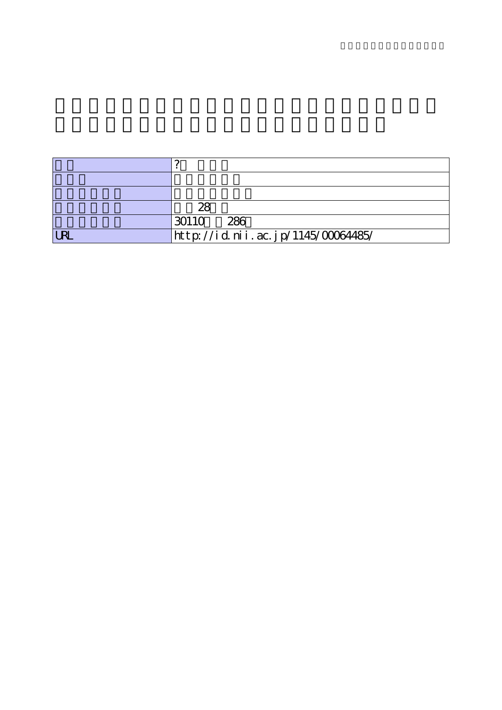|                 | 28                                 |
|-----------------|------------------------------------|
|                 | 30110<br>286                       |
| I <sub>PI</sub> | http://id.nii.ac.jp/1145/00064485/ |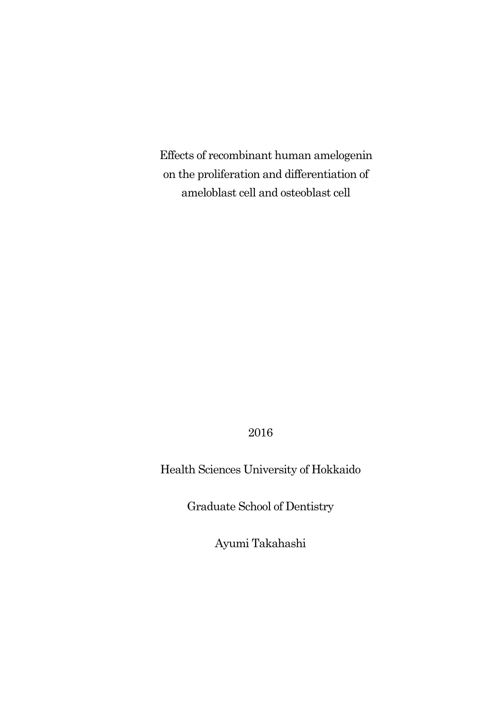Effects of recombinant human amelogenin on the proliferation and differentiation of ameloblast cell and osteoblast cell

2016

Health Sciences University of Hokkaido

Graduate School of Dentistry

Ayumi Takahashi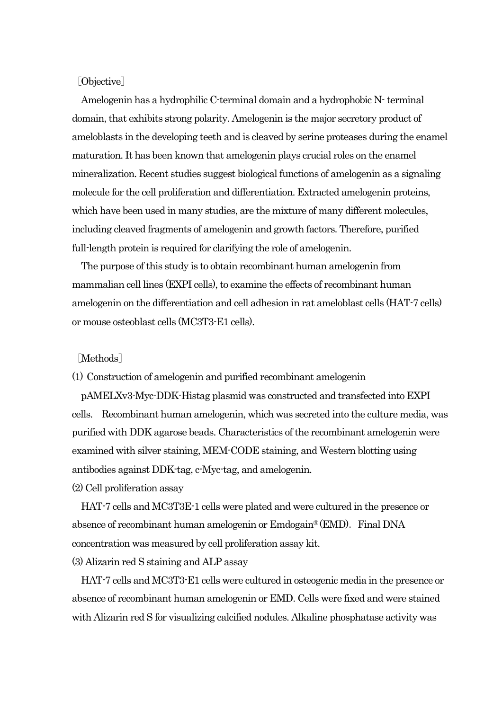## [Objective]

 Amelogenin has a hydrophilic C-terminal domain and a hydrophobic N-terminal domain, that exhibits strong polarity. Amelogenin is the major secretory product of ameloblasts in the developing teeth and is cleaved by serine proteases during the enamel maturation. It has been known that amelogenin plays crucial roles on the enamel mineralization. Recent studies suggest biological functions of amelogenin as a signaling molecule for the cell proliferation and differentiation. Extracted amelogenin proteins, which have been used in many studies, are the mixture of many different molecules, including cleaved fragments of amelogenin and growth factors. Therefore, purified full-length protein is required for clarifying the role of amelogenin.

 The purpose of this study is to obtain recombinant human amelogenin from mammalian cell lines (EXPI cells), to examine the effects of recombinant human amelogenin on the differentiation and cell adhesion in rat ameloblast cells (HAT-7 cells) or mouse osteoblast cells (MC3T3-E1 cells).

[Methods]

(1) Construction of amelogenin and purified recombinant amelogenin

pAMELXv3-Myc-DDK-Histag plasmid was constructed and transfected into EXPI cells. Recombinant human amelogenin, which was secreted into the culture media, was purified with DDK agarose beads. Characteristics of the recombinant amelogenin were examined with silver staining, MEM-CODE staining, and Western blotting using antibodies against DDK-tag, c-Myc-tag, and amelogenin.

(2) Cell proliferation assay

 HAT-7 cells and MC3T3E-1 cells were plated and were cultured in the presence or absence of recombinant human amelogenin or  $\rm{Endogain}^{\circ}(\rm{EMD})$ . Final DNA concentration was measured by cell proliferation assay kit.

(3) Alizarin red S staining and ALP assay

 HAT-7 cells and MC3T3-E1 cells were cultured in osteogenic media in the presence or absence of recombinant human amelogenin or EMD. Cells were fixed and were stained with Alizarin red S for visualizing calcified nodules. Alkaline phosphatase activity was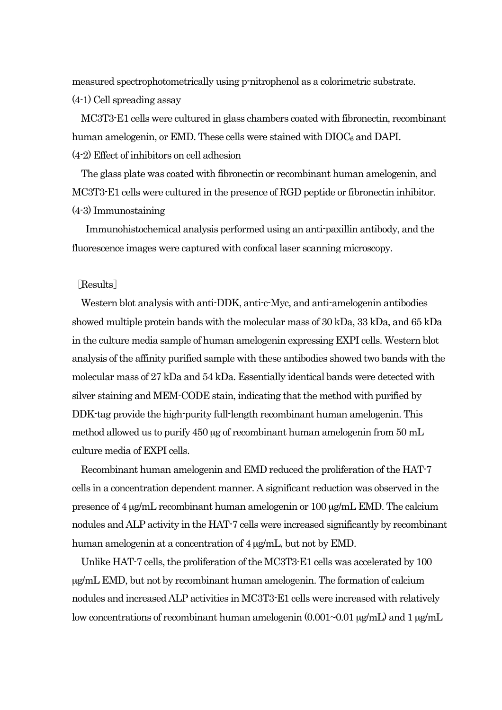measured spectrophotometrically using p-nitrophenol as a colorimetric substrate. (4-1) Cell spreading assay

 MC3T3-E1 cells were cultured in glass chambers coated with fibronectin, recombinant human amelogenin, or EMD. These cells were stained with  $DIOC<sub>6</sub>$  and DAPI. (4-2) Effect of inhibitors on cell adhesion

The glass plate was coated with fibronectin or recombinant human amelogenin, and MC3T3-E1 cells were cultured in the presence of RGD peptide or fibronectin inhibitor. (4-3) Immunostaining

 Immunohistochemical analysis performed using an anti-paxillin antibody, and the fluorescence images were captured with confocal laser scanning microscopy.

## [Results]

 Western blot analysis with anti-DDK, anti-c-Myc, and anti-amelogenin antibodies showed multiple protein bands with the molecular mass of 30 kDa, 33 kDa, and 65 kDa in the culture media sample of human amelogenin expressing EXPI cells. Western blot analysis of the affinity purified sample with these antibodies showed two bands with the molecular mass of 27 kDa and 54 kDa. Essentially identical bands were detected with silver staining and MEM-CODE stain, indicating that the method with purified by DDK-tag provide the high-purity full-length recombinant human amelogenin. This method allowed us to purify 450 µg of recombinant human amelogenin from 50 mL culture media of EXPI cells.

 Recombinant human amelogenin and EMD reduced the proliferation of the HAT-7 cells in a concentration dependent manner. A significant reduction was observed in the presence of 4 µg/mL recombinant human amelogenin or 100 µg/mL EMD. The calcium nodules and ALP activity in the HAT-7 cells were increased significantly by recombinant human amelogenin at a concentration of 4  $\mu$ g/mL, but not by EMD.

 Unlike HAT-7 cells, the proliferation of the MC3T3-E1 cells was accelerated by 100 µg/mL EMD, but not by recombinant human amelogenin. The formation of calcium nodules and increased ALP activities in MC3T3-E1 cells were increased with relatively low concentrations of recombinant human amelogenin  $(0.001\text{~}0.01 \text{~} \mu\text{g/mL})$  and 1  $\mu\text{g/mL}$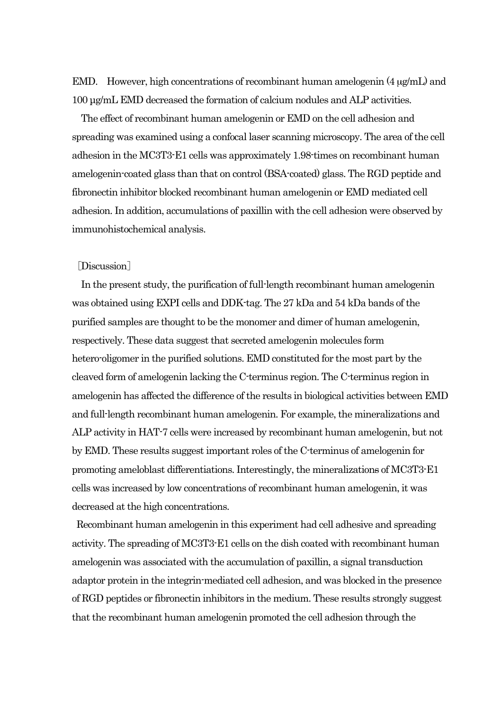EMD. However, high concentrations of recombinant human amelogenin (4  $\mu$ g/mL) and 100 µg/mL EMD decreased the formation of calcium nodules and ALP activities.

The effect of recombinant human amelogenin or EMD on the cell adhesion and spreading was examined using a confocal laser scanning microscopy. The area of the cell adhesion in the MC3T3-E1 cells was approximately 1.98-times on recombinant human amelogenin-coated glass than that on control (BSA-coated) glass. The RGD peptide and fibronectin inhibitor blocked recombinant human amelogenin or EMD mediated cell adhesion. In addition, accumulations of paxillin with the cell adhesion were observed by immunohistochemical analysis.

## [Discussion]

In the present study, the purification of full-length recombinant human amelogenin was obtained using EXPI cells and DDK-tag. The 27 kDa and 54 kDa bands of the purified samples are thought to be the monomer and dimer of human amelogenin, respectively. These data suggest that secreted amelogenin molecules form hetero-oligomer in the purified solutions. EMD constituted for the most part by the cleaved form of amelogenin lacking the C-terminus region. The C-terminus region in amelogenin has affected the difference of the results in biological activities between EMD and full-length recombinant human amelogenin. For example, the mineralizations and ALP activity in HAT-7 cells were increased by recombinant human amelogenin, but not by EMD. These results suggest important roles of the C-terminus of amelogenin for promoting ameloblast differentiations. Interestingly, the mineralizations of MC3T3-E1 cells was increased by low concentrations of recombinant human amelogenin, it was decreased at the high concentrations.

Recombinant human amelogenin in this experiment had cell adhesive and spreading activity. The spreading of MC3T3-E1 cells on the dish coated with recombinant human amelogenin was associated with the accumulation of paxillin, a signal transduction adaptor protein in the integrin-mediated cell adhesion, and was blocked in the presence of RGD peptides or fibronectin inhibitors in the medium. These results strongly suggest that the recombinant human amelogenin promoted the cell adhesion through the